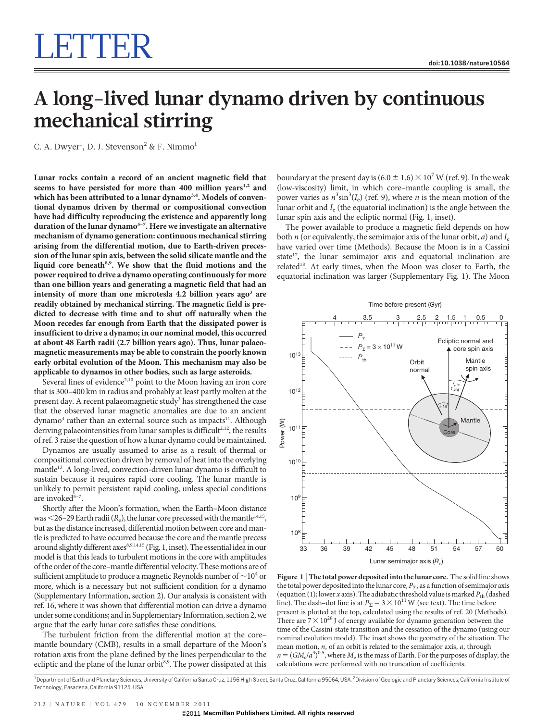# A long-lived lunar dynamo driven by continuous mechanical stirring

C. A. Dwyer<sup>1</sup>, D. J. Stevenson<sup>2</sup> & F. Nimmo<sup>1</sup>

Lunar rocks contain a record of an ancient magnetic field that seems to have persisted for more than 400 million years<sup>1,2</sup> and which has been attributed to a lunar dynamo<sup>3,4</sup>. Models of conventional dynamos driven by thermal or compositional convection have had difficulty reproducing the existence and apparently long duration of the lunar dynamo<sup>5-7</sup>. Here we investigate an alternative mechanism of dynamo generation: continuous mechanical stirring arising from the differential motion, due to Earth-driven precession of the lunar spin axis, between the solid silicate mantle and the liquid core beneath<sup>8,9</sup>. We show that the fluid motions and the power required to drive a dynamo operating continuously for more than one billion years and generating a magnetic field that had an intensity of more than one microtesla 4.2 billion years ago<sup>3</sup> are readily obtained by mechanical stirring. The magnetic field is predicted to decrease with time and to shut off naturally when the Moon recedes far enough from Earth that the dissipated power is insufficient to drive a dynamo; in our nominal model, this occurred at about 48 Earth radii (2.7 billion years ago). Thus, lunar palaeomagnetic measurements may be able to constrain the poorly known early orbital evolution of the Moon. This mechanism may also be applicable to dynamos in other bodies, such as large asteroids.

Several lines of evidence<sup>2,10</sup> point to the Moon having an iron core that is 300–400 km in radius and probably at least partly molten at the present day. A recent palaeomagnetic study<sup>3</sup> has strengthened the case that the observed lunar magnetic anomalies are due to an ancient dynamo<sup>4</sup> rather than an external source such as impacts<sup>11</sup>. Although deriving palaeointensities from lunar samples is difficult<sup>2,12</sup>, the results of ref. 3 raise the question of how a lunar dynamo could be maintained.

Dynamos are usually assumed to arise as a result of thermal or compositional convection driven by removal of heat into the overlying mantle<sup>13</sup>. A long-lived, convection-driven lunar dynamo is difficult to sustain because it requires rapid core cooling. The lunar mantle is unlikely to permit persistent rapid cooling, unless special conditions are invoked $5-7$ .

Shortly after the Moon's formation, when the Earth–Moon distance was  $\leq$ 26–29 Earth radii ( $R_e$ ), the lunar core precessed with the mantle<sup>14,15</sup>, but as the distance increased, differential motion between core and mantle is predicted to have occurred because the core and the mantle precess around slightly different axes<sup>8,9,14,15</sup> (Fig. 1, inset). The essential idea in our model is that this leads to turbulent motions in the core with amplitudes of the order of the core–mantle differential velocity. These motions are of sufficient amplitude to produce a magnetic Reynolds number of  $\sim 10^4$  or more, which is a necessary but not sufficient condition for a dynamo (Supplementary Information, section 2). Our analysis is consistent with ref. 16, where it was shown that differential motion can drive a dynamo under some conditions; and in Supplementary Information, section 2, we argue that the early lunar core satisfies these conditions.

The turbulent friction from the differential motion at the core– mantle boundary (CMB), results in a small departure of the Moon's rotation axis from the plane defined by the lines perpendicular to the ecliptic and the plane of the lunar orbit<sup>8,9</sup>. The power dissipated at this boundary at the present day is  $(6.0 \pm 1.6) \times 10^7$  W (ref. 9). In the weak (low-viscosity) limit, in which core–mantle coupling is small, the power varies as  $n^3 \sin^3(I_e)$  (ref. 9), where *n* is the mean motion of the lunar orbit and  $I_e$  (the equatorial inclination) is the angle between the lunar spin axis and the ecliptic normal (Fig. 1, inset).

The power available to produce a magnetic field depends on how both *n* (or equivalently, the semimajor axis of the lunar orbit, *a*) and  $I_e$ have varied over time (Methods). Because the Moon is in a Cassini state<sup>17</sup>, the lunar semimajor axis and equatorial inclination are related18. At early times, when the Moon was closer to Earth, the equatorial inclination was larger (Supplementary Fig. 1). The Moon



Figure 1 | The total power deposited into the lunar core. The solid line shows the total power deposited into the lunar core,  $P_{\Sigma}$ , as a function of semimajor axis (equation (1); lower x axis). The adiabatic threshold value is marked  $P_{\text{th}}$  (dashed line). The dash–dot line is at  $P_{\Sigma} = 3 \times 10^{11}$  W (see text). The time before present is plotted at the top, calculated using the results of ref. 20 (Methods). There are  $7 \times 10^{28}$  J of energy available for dynamo generation between the time of the Cassini-state transition and the cessation of the dynamo (using our nominal evolution model). The inset shows the geometry of the situation. The mean motion, n, of an orbit is related to the semimajor axis, a, through  $n = (GM_e/a^3)^{0.5}$ , where  $M_e$  is the mass of Earth. For the purposes of display, the calculations were performed with no truncation of coefficients.

<sup>1</sup> Department of Earth and Planetary Sciences, University of California Santa Cruz, 1156 High Street, Santa Cruz, California 95064, USA. <sup>2</sup> Division of Geologic and Planetary Sciences, California Institute of Technology, Pasadena, California 91125, USA.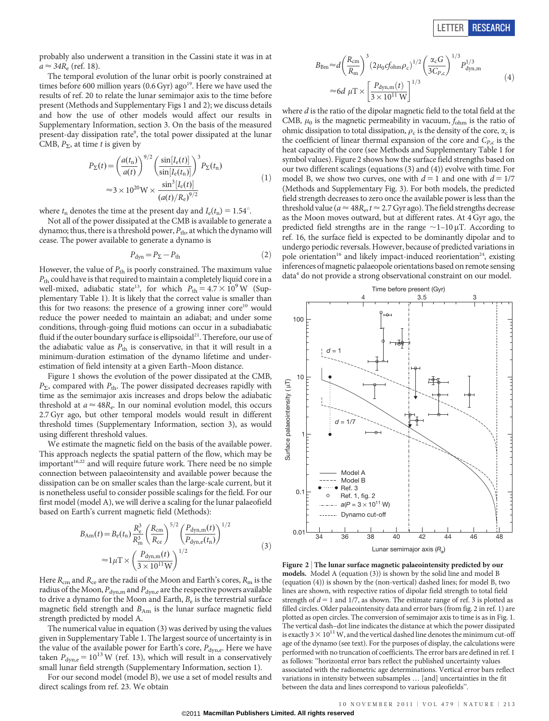probably also underwent a transition in the Cassini state it was in at  $a \approx 34R_e$  (ref. 18).

The temporal evolution of the lunar orbit is poorly constrained at times before 600 million years  $(0.6 \text{ Gyr})$  ago<sup>19</sup>. Here we have used the results of ref. 20 to relate the lunar semimajor axis to the time before present (Methods and Supplementary Figs 1 and 2); we discuss details and how the use of other models would affect our results in Supplementary Information, section 3. On the basis of the measured present-day dissipation rate<sup>9</sup>, the total power dissipated at the lunar CMB,  $P_{\Sigma}$ , at time t is given by

$$
P_{\Sigma}(t) = \left(\frac{a(t_{\rm n})}{a(t)}\right)^{9/2} \left(\frac{\sin[I_{\rm e}(t)]}{\sin[I_{\rm e}(t_{\rm n})]}\right)^3 P_{\Sigma}(t_{\rm n})
$$
  

$$
\approx 3 \times 10^{20} \,\text{W} \times \frac{\sin^3[I_{\rm e}(t)]}{(a(t)/R_{\rm e})^{9/2}}
$$
 (1)

where  $t_n$  denotes the time at the present day and  $I_e(t_n) = 1.54^\circ$ .

Not all of the power dissipated at the CMB is available to generate a dynamo; thus, there is a threshold power,  $P_{\text{th}}$ , at which the dynamo will cease. The power available to generate a dynamo is

$$
P_{\rm dyn} = P_{\Sigma} - P_{\rm th} \tag{2}
$$

However, the value of  $P_{\text{th}}$  is poorly constrained. The maximum value  $P_{\text{th}}$  could have is that required to maintain a completely liquid core in a well-mixed, adiabatic state<sup>13</sup>, for which  $P_{\text{th}} = 4.7 \times 10^9 \text{ W}$  (Supplementary Table 1). It is likely that the correct value is smaller than this for two reasons: the presence of a growing inner  $core<sup>10</sup>$  would reduce the power needed to maintain an adiabat; and under some conditions, through-going fluid motions can occur in a subadiabatic fluid if the outer boundary surface is ellipsoidal<sup>21</sup>. Therefore, our use of the adiabatic value as  $P_{\text{th}}$  is conservative, in that it will result in a minimum-duration estimation of the dynamo lifetime and underestimation of field intensity at a given Earth–Moon distance.

Figure 1 shows the evolution of the power dissipated at the CMB,  $P_{\Sigma}$ , compared with  $P_{\text{th}}$ . The power dissipated decreases rapidly with time as the semimajor axis increases and drops below the adiabatic threshold at  $a \approx 48R_e$ . In our nominal evolution model, this occurs 2.7 Gyr ago, but other temporal models would result in different threshold times (Supplementary Information, section 3), as would using different threshold values.

We estimate the magnetic field on the basis of the available power. This approach neglects the spatial pattern of the flow, which may be important<sup>16,22</sup> and will require future work. There need be no simple connection between palaeointensity and available power because the dissipation can be on smaller scales than the large-scale current, but it is nonetheless useful to consider possible scalings for the field. For our first model (model A), we will derive a scaling for the lunar palaeofield based on Earth's current magnetic field (Methods):

$$
B_{\rm Am}(t) = B_{\rm e}(t_{\rm n}) \frac{R_{\rm e}^{3}}{R_{\rm m}^{3}} \left(\frac{R_{\rm cm}}{R_{\rm ce}}\right)^{5/2} \left(\frac{P_{\rm dyn,m}(t)}{P_{\rm dyn,e}(t_{\rm n})}\right)^{1/2}
$$
  

$$
\approx 1 \mu \rm{T} \times \left(\frac{P_{\rm dyn,m}(t)}{3 \times 10^{11} \rm{W}}\right)^{1/2}
$$
(3)

Here  $R_{cm}$  and  $R_{ce}$  are the radii of the Moon and Earth's cores,  $R_{m}$  is the radius of the Moon,  $P_{dyn,m}$  and  $P_{dyn,e}$  are the respective powers available to drive a dynamo for the Moon and Earth,  $B_e$  is the terrestrial surface magnetic field strength and  $B_{Am}$  is the lunar surface magnetic field strength predicted by model A.

The numerical value in equation (3) was derived by using the values given in Supplementary Table 1. The largest source of uncertainty is in the value of the available power for Earth's core,  $P_{\text{dyn,e}}$ . Here we have taken  $P_{\text{dyn,e}} = 10^{13} \text{ W (ref. 13), which will result in a conservatively}$ small lunar field strength (Supplementary Information, section 1).

For our second model (model B), we use a set of model results and direct scalings from ref. 23. We obtain

$$
B_{\rm Bm} \approx d \left(\frac{R_{\rm cm}}{R_{\rm m}}\right)^3 \left(2\mu_0 c f_{\rm ohm} \rho_{\rm c}\right)^{1/2} \left(\frac{\alpha_{\rm c} G}{3C_{P,\rm c}}\right)^{1/3} P_{\rm dyn,m}^{1/3}
$$
\n
$$
\approx 6d \mu \text{T} \times \left[\frac{P_{\rm dyn,m}(t)}{3 \times 10^{11} \text{ W}}\right]^{1/3} \tag{4}
$$

where  $d$  is the ratio of the dipolar magnetic field to the total field at the CMB,  $\mu_0$  is the magnetic permeability in vacuum,  $f_{\text{ohm}}$  is the ratio of ohmic dissipation to total dissipation,  $\rho_c$  is the density of the core,  $\alpha_c$  is the coefficient of linear thermal expansion of the core and  $C_{p,c}$  is the heat capacity of the core (see Methods and Supplementary Table 1 for symbol values). Figure 2 shows how the surface field strengths based on our two different scalings (equations (3) and (4)) evolve with time. For model B, we show two curves, one with  $d = 1$  and one with  $d = 1/7$ (Methods and Supplementary Fig. 3). For both models, the predicted field strength decreases to zero once the available power is less than the threshold value ( $a \approx 48R_e$ ,  $t \approx 2.7$  Gyr ago). The field strengths decrease as the Moon moves outward, but at different rates. At 4 Gyr ago, the predicted field strengths are in the range  $\sim$ 1–10  $\mu$ T. According to ref. 16, the surface field is expected to be dominantly dipolar and to undergo periodic reversals. However, because of predicted variations in pole orientation<sup>16</sup> and likely impact-induced reorientation<sup>24</sup>, existing inferences of magnetic palaeopole orientations based on remote sensing data<sup>4</sup> do not provide a strong observational constraint on our model.



Figure 2 | The lunar surface magnetic palaeointensity predicted by our models. Model A (equation (3)) is shown by the solid line and model B (equation (4)) is shown by the (non-vertical) dashed lines; for model B, two lines are shown, with respective ratios of dipolar field strength to total field strength of  $d = 1$  and 1/7, as shown. The estimate range of ref. 3 is plotted as filled circles. Older palaeointensity data and error bars (from fig. 2 in ref. 1) are plotted as open circles. The conversion of semimajor axis to time is as in Fig. 1. The vertical dash–dot line indicates the distance at which the power dissipated is exactly  $3 \times 10^{11}$  W, and the vertical dashed line denotes the minimum cut-off age of the dynamo (see text). For the purposes of display, the calculations were performed with no truncation of coefficients. The error bars are defined in ref. 1 as follows: ''horizontal error bars reflect the published uncertainty values associated with the radiometric age determinations. Vertical error bars reflect variations in intensity between subsamples … [and] uncertainties in the fit between the data and lines correspond to various paleofields''.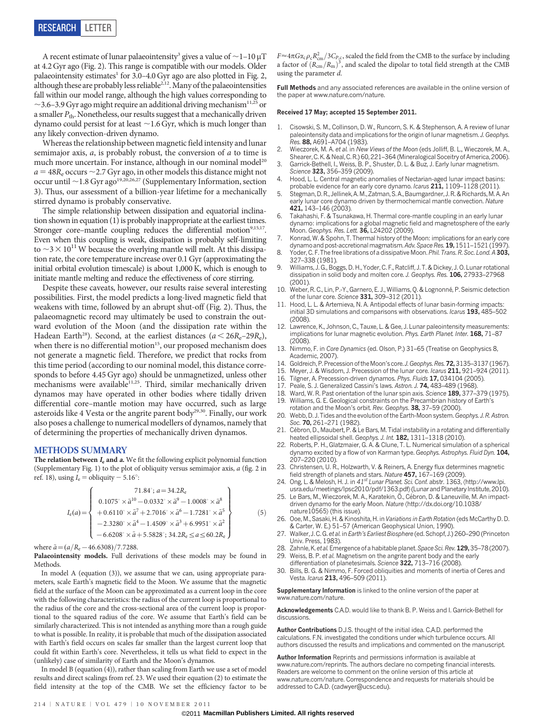A recent estimate of lunar palaeointensity<sup>3</sup> gives a value of  $\sim$  1–10  $\mu$ T at 4.2 Gyr ago (Fig. 2). This range is compatible with our models. Older palaeointensity estimates<sup>1</sup> for 3.0–4.0 Gyr ago are also plotted in Fig. 2, although these are probably less reliable<sup>2,12</sup>. Many of the palaeointensities fall within our model range, although the high values corresponding to  $\sim$ 3.6–3.9 Gyr ago might require an additional driving mechanism<sup>11,25</sup> or a smaller  $P_{\text{th}}$ . Nonetheless, our results suggest that a mechanically driven dynamo could persist for at least  $\sim$  1.6 Gyr, which is much longer than any likely convection-driven dynamo.

Whereas the relationship between magnetic field intensity and lunar semimajor axis, a, is probably robust, the conversion of a to time is much more uncertain. For instance, although in our nominal model<sup>20</sup>  $a = 48R_e$  occurs  $\sim$  2.7 Gyr ago, in other models this distance might not occur until  $\sim$  1.8 Gyr ago<sup>19,20,26,27</sup> (Supplementary Information, section 3). Thus, our assessment of a billion-year lifetime for a mechanically stirred dynamo is probably conservative.

The simple relationship between dissipation and equatorial inclination shown in equation (1) is probably inappropriate at the earliest times. Stronger core-mantle coupling reduces the differential motion<sup>9,15,17</sup>. Even when this coupling is weak, dissipation is probably self-limiting to  $\sim$ 3  $\times$  10<sup>11</sup> W because the overlying mantle will melt. At this dissipation rate, the core temperature increase over 0.1 Gyr (approximating the initial orbital evolution timescale) is about 1,000 K, which is enough to initiate mantle melting and reduce the effectiveness of core stirring.

Despite these caveats, however, our results raise several interesting possibilities. First, the model predicts a long-lived magnetic field that weakens with time, followed by an abrupt shut-off (Fig. 2). Thus, the palaeomagnetic record may ultimately be used to constrain the outward evolution of the Moon (and the dissipation rate within the Hadean Earth<sup>28</sup>). Second, at the earliest distances ( $a < 26R_e-29R_e$ ), when there is no differential motion<sup>15</sup>, our proposed mechanism does not generate a magnetic field. Therefore, we predict that rocks from this time period (according to our nominal model, this distance corresponds to before 4.45 Gyr ago) should be unmagnetized, unless other mechanisms were available<sup>11,25</sup>. Third, similar mechanically driven dynamos may have operated in other bodies where tidally driven differential core–mantle motion may have occurred, such as large asteroids like 4 Vesta or the angrite parent body<sup>29,30</sup>. Finally, our work also poses a challenge to numerical modellers of dynamos, namely that of determining the properties of mechanically driven dynamos.

#### METHODS SUMMARY

The relation between  $I_e$  and a. We fit the following explicit polynomial function (Supplementary Fig. 1) to the plot of obliquity versus semimajor axis, a (fig. 2 in ref. 18), using  $I_e$  = obliquity - 5.16°:

$$
I_{e}(a) = \begin{Bmatrix} 71.84^{\circ}; a = 34.2R_{e} \\ 0.1075^{\circ} \times \tilde{a}^{10} - 0.0332^{\circ} \times \tilde{a}^{9} - 1.0008^{\circ} \times \tilde{a}^{8} \\ + 0.6110^{\circ} \times \tilde{a}^{7} + 2.7016^{\circ} \times \tilde{a}^{6} - 1.7281^{\circ} \times \tilde{a}^{5} \\ -2.3280^{\circ} \times \tilde{a}^{4} - 1.4509^{\circ} \times \tilde{a}^{3} + 6.9951^{\circ} \times \tilde{a}^{2} \\ -6.6208^{\circ} \times \tilde{a} + 5.5828^{\circ}; 34.2R_{e} \le a \le 60.2R_{e} \end{Bmatrix}
$$
(5)

where  $\tilde{a} = (a/R_e - 46.6308)/7.7288$ .

Palaeointensity models. Full derivations of these models may be found in **Methods** 

In model A (equation (3)), we assume that we can, using appropriate parameters, scale Earth's magnetic field to the Moon. We assume that the magnetic field at the surface of the Moon can be approximated as a current loop in the core with the following characteristics: the radius of the current loop is proportional to the radius of the core and the cross-sectional area of the current loop is proportional to the squared radius of the core. We assume that Earth's field can be similarly characterized. This is not intended as anything more than a rough guide to what is possible. In reality, it is probable that much of the dissipation associated with Earth's field occurs on scales far smaller than the largest current loop that could fit within Earth's core. Nevertheless, it tells us what field to expect in the (unlikely) case of similarity of Earth and the Moon's dynamos.

In model B (equation (4)), rather than scaling from Earth we use a set of model results and direct scalings from ref. 23. We used their equation (2) to estimate the field intensity at the top of the CMB. We set the efficiency factor to be

 $F \approx 4\pi G \alpha_c \rho_c R_{cm}^2/3C_{P,c}$ , scaled the field from the CMB to the surface by including a factor of  $(R_{cm}/R_m)^3$ , and scaled the dipolar to total field strength at the CMB using the parameter d.

Full Methods and any associated references are available in the online version of the paper at<www.nature.com/nature>.

#### Received 17 May; accepted 15 September 2011.

- 1. Cisowski, S. M., Collinson, D. W., Runcorn, S. K. & Stephenson, A. A review of lunar paleointensity data and implications for the origin of lunar magnetism. J. Geophys. Res. 88, A691–A704 (1983).
- 2. Wieczorek, M. A. et al. in New Views of the Moon (eds Jolliff, B. L., Wieczorek, M. A., Shearer, C. K. & Neal, C. R.) 60, 221–364 (Mineralogical Soceitry of America, 2006).
- 3. Garrick-Bethell, I., Weiss, B. P., Shuster, D. L. & Buz, J. Early lunar magnetism. Science 323, 356-359 (2009).
- 4. Hood, L. L. Central magnetic anomalies of Nectarian-aged lunar impact basins: probable evidence for an early core dynamo. Icarus 211, 1109-1128 (2011).
- 5. Stegman, D. R., Jellinek, A.M., Zatman, S. A., Baumgardner, J. R. & Richards, M. A. An early lunar core dynamo driven by thermochemical mantle convection. Nature 421, 143–146 (2003).
- Takahashi, F. & Tsunakawa, H. Thermal core-mantle coupling in an early lunar dynamo: implications for a global magnetic field and magnetosphere of the early Moon. Geophys. Res. Lett. 36, L24202 (2009).
- 7. Konrad, W. & Spohn, T. Thermal history of the Moon: implications for an early core dynamo and post-accretionalmagmatism.Adv. Space Res.19,1511–1521 (1997).
- Yoder, C. F. The free librations of a dissipative Moon. Phil. Trans. R. Soc. Lond. A 303. 327–338 (1981).
- 9. Williams, J. G., Boggs, D. H., Yoder, C. F., Ratcliff, J. T. & Dickey, J. O. Lunar rotational dissipation in solid body and molten core. J. Geophys. Res. 106, 27933–27968 (2001).
- 10. Weber, R. C., Lin, P.-Y., Garnero, E. J., Williams, Q. & Lognonné, P. Seismic detection of the lunar core. Science 331, 309-312 (2011).
- 11. Hood, L. L. & Artemieva, N. A. Antipodal effects of lunar basin-forming impacts: initial 3D simulations and comparisons with observations. Icarus 193, 485-502 (2008).
- 12. Lawrence, K., Johnson, C., Tauxe, L. & Gee, J. Lunar paleointensity measurements: implications for lunar magnetic evolution. Phys. Earth Planet. Inter. 168, 71-87 (2008).
- 13. Nimmo, F. in Core Dynamics (ed. Olson, P.) 31–65 (Treatise on Geophysics 8, Academic, 2007).
- 14. Goldreich, P. Precession of theMoon's core. J. Geophys. Res.72,3135–3137 (1967).
- 15. Meyer, J. & Wisdom, J. Precession of the lunar core. Icarus 211, 921–924 (2011).
- 16. Tilgner, A. Precession-driven dynamos. Phys. Fluids 17, 034104 (2005).
- 17. Peale, S. J. Generalized Cassini's laws. Astron. J. 74, 483-489 (1968).
- Ward, W. R. Past orientation of the lunar spin axis. Science 189, 377-379 (1975).
- 19. Williams, G. E. Geological constraints on the Precambrian history of Earth's rotation and the Moon's orbit. Rev. Geophys. 38, 37-59 (2000).
- 20. Webb, D. J. Tides and the evolution of the Earth-Moon system. Geophys. J. R. Astron. Soc. 70, 261-271 (1982).
- 21. Cébron, D., Maubert, P. & Le Bars, M. Tidal instability in a rotating and differentially heated ellipsoidal shell. Geophys. J. Int. 182, 1311-1318 (2010).
- 22. Roberts, P. H., Glatzmaier, G. A. & Clune, T. L. Numerical simulation of a spherical dynamo excited by a flow of von Karman type. Geophys. Astrophys. Fluid Dyn. 104, 207–220 (2010).
- 23. Christensen, U. R., Holzwarth, V. & Reiners, A. Energy flux determines magnetic field strength of planets and stars. Nature 457, 167–169 (2009).
- 24. Ong, L. & Melosh, H. J. in 41<sup>st</sup> Lunar Planet. Sci. Conf. abstr. 1363, ([http://www.lpi.](http://www.lpi.usra.edu/meetings/lpsc2010/pdf/1363.pdf) [usra.edu/meetings/lpsc2010/pdf/1363.pdf](http://www.lpi.usra.edu/meetings/lpsc2010/pdf/1363.pdf)) (Lunar and Planetary Institute, 2010)
- 25. Le Bars, M., Wieczorek, M. A., Karatekin, Ö., Cébron, D. & Laneuville, M. An impactdriven dynamo for the early Moon. Nature ([http://dx.doi.org/10.1038/](http://dx.doi.org/10.1038/nature10565) [nature10565](http://dx.doi.org/10.1038/nature10565) $\rangle$  (this issue).
- 26. Ooe, M., Sasaki, H. & Kinoshita, H. in Variations in Earth Rotation (eds McCarthy D. D. & Carter, W. E.) 51–57 (American Geophysical Union, 1990).
- 27. Walker, J. C. G. et al. in Earth's Earliest Biosphere (ed. Schopf, J.) 260–290 (Princeton Univ. Press, 1983).
- 28. Zahnle, K. et al. Emergence of a habitable planet. Space Sci. Rev. 129, 35–78 (2007).<br>29 Weiss B. P. et al. Magnetism on the angrite parent body and the early Weiss, B. P. et al. Magnetism on the angrite parent body and the early
- differentiation of planetesimals. Science 322, 713-716 (2008)
- 30. Bills, B. G. & Nimmo, F. Forced obliquities and moments of inertia of Ceres and Vesta. Icarus 213, 496–509 (2011).

Supplementary Information is linked to the online version of the paper at <www.nature.com/nature>.

Acknowledgements C.A.D. would like to thank B. P. Weiss and I. Garrick-Bethell for discussions.

Author Contributions D.J.S. thought of the initial idea. C.A.D. performed the calculations. F.N. investigated the conditions under which turbulence occurs. All authors discussed the results and implications and commented on the manuscript.

Author Information Reprints and permissions information is available at <www.nature.com/reprints>. The authors declare no competing financial interests. Readers are welcome to comment on the online version of this article at <www.nature.com/nature>. Correspondence and requests for materials should be addressed to C.A.D. [\(cadwyer@ucsc.edu\)](mailto:cadwyer@ucsc.edu).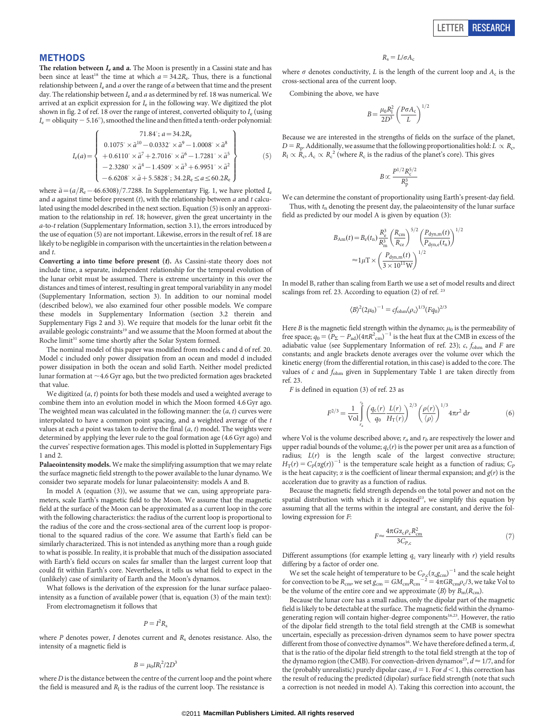## METHODS

The relation between  $I_e$  and a. The Moon is presently in a Cassini state and has been since at least<sup>18</sup> the time at which  $a = 34.2R_e$ . Thus, there is a functional relationship between  $I_e$  and  $a$  over the range of  $a$  between that time and the present day. The relationship between  $I_e$  and  $a$  as determined by ref. 18 was numerical. We arrived at an explicit expression for  $I<sub>e</sub>$  in the following way. We digitized the plot shown in fig. 2 of ref. 18 over the range of interest, converted obliquity to  $I_e$  (using  $I_e$  = obliquity - 5.16°), smoothed the line and then fitted a tenth-order polynomial:

$$
I_{e}(a) = \begin{Bmatrix} 71.84^{\circ}; a = 34.2R_{e} \\ 0.1075^{\circ} \times \tilde{a}^{10} - 0.0332^{\circ} \times \tilde{a}^{9} - 1.0008^{\circ} \times \tilde{a}^{8} \\ + 0.6110^{\circ} \times \tilde{a}^{7} + 2.7016^{\circ} \times \tilde{a}^{6} - 1.7281^{\circ} \times \tilde{a}^{5} \\ -2.3280^{\circ} \times \tilde{a}^{4} - 1.4509^{\circ} \times \tilde{a}^{3} + 6.9951^{\circ} \times \tilde{a}^{2} \\ -6.6208^{\circ} \times \tilde{a} + 5.5828^{\circ}; 34.2R_{e} \le a \le 60.2R_{e} \end{Bmatrix}
$$
(5)

where  $\tilde{a}=(a/R_e-46.6308)/7.7288$ . In Supplementary Fig. 1, we have plotted  $I_e$ and  $a$  against time before present  $(t)$ , with the relationship between  $a$  and  $t$  calculated using the model described in the next section. Equation (5) is only an approximation to the relationship in ref. 18; however, given the great uncertainty in the a-to-t relation (Supplementary Information, section 3.1), the errors introduced by the use of equation (5) are not important. Likewise, errors in the result of ref. 18 are likely to be negligible in comparison with the uncertainties in the relation between a and t.

Converting  $a$  into time before present  $(t)$ . As Cassini-state theory does not include time, a separate, independent relationship for the temporal evolution of the lunar orbit must be assumed. There is extreme uncertainty in this over the distances and times of interest, resulting in great temporal variability in any model (Supplementary Information, section 3). In addition to our nominal model (described below), we also examined four other possible models. We compare these models in Supplementary Information (section 3.2 therein and Supplementary Figs 2 and 3). We require that models for the lunar orbit fit the available geologic constraints<sup>19</sup> and we assume that the Moon formed at about the Roche limit<sup>31</sup> some time shortly after the Solar System formed.

The nominal model of this paper was modified from models c and d of ref. 20. Model c included only power dissipation from an ocean and model d included power dissipation in both the ocean and solid Earth. Neither model predicted lunar formation at  $\sim$  4.6 Gyr ago, but the two predicted formation ages bracketed that value.

We digitized  $(a, t)$  points for both these models and used a weighted average to combine them into an evolution model in which the Moon formed 4.6 Gyr ago. The weighted mean was calculated in the following manner: the  $(a, t)$  curves were interpolated to have a common point spacing, and a weighted average of the t values at each  $a$  point was taken to derive the final  $(a, t)$  model. The weights were determined by applying the lever rule to the goal formation age (4.6 Gyr ago) and the curves' respective formation ages. This model is plotted in Supplementary Figs 1 and 2.

Palaeointensity models. We make the simplifying assumption that we may relate the surface magnetic field strength to the power available to the lunar dynamo. We consider two separate models for lunar palaeointensity: models A and B.

In model A (equation (3)), we assume that we can, using appropriate parameters, scale Earth's magnetic field to the Moon. We assume that the magnetic field at the surface of the Moon can be approximated as a current loop in the core with the following characteristics: the radius of the current loop is proportional to the radius of the core and the cross-sectional area of the current loop is proportional to the squared radius of the core. We assume that Earth's field can be similarly characterized. This is not intended as anything more than a rough guide to what is possible. In reality, it is probable that much of the dissipation associated with Earth's field occurs on scales far smaller than the largest current loop that could fit within Earth's core. Nevertheless, it tells us what field to expect in the (unlikely) case of similarity of Earth and the Moon's dynamos.

What follows is the derivation of the expression for the lunar surface palaeointensity as a function of available power (that is, equation (3) of the main text): From electromagnetism it follows that

$$
P=I^2R_s
$$

where  $P$  denotes power,  $I$  denotes current and  $R_s$  denotes resistance. Also, the intensity of a magnetic field is

## $B = \mu_0 I R_1^2 / 2D^3$

where  $D$  is the distance between the centre of the current loop and the point where the field is measured and  $R_1$  is the radius of the current loop. The resistance is

### $R_s = L/\sigma A_c$

where  $\sigma$  denotes conductivity, L is the length of the current loop and  $A_c$  is the cross-sectional area of the current loop.

Combining the above, we have

$$
B = \frac{\mu_0 R_\mathrm{l}^2}{2D^3} \left(\frac{P\sigma A_\mathrm{c}}{L}\right)^{1/2}
$$

Because we are interested in the strengths of fields on the surface of the planet,  $D = R_p$ . Additionally, we assume that the following proportionalities hold:  $L \propto R_c$ ,  $R_1 \propto \hat{R}_c$ ,  $A_c \propto R_c^2$  (where  $R_c$  is the radius of the planet's core). This gives

$$
B \propto \frac{P^{1/2} R_c^{5/2}}{R_p^3}
$$

We can determine the constant of proportionality using Earth's present-day field. Thus, with  $t_n$  denoting the present day, the palaeointensity of the lunar surface

field as predicted by our model A is given by equation (3):

$$
B_{\rm Am}(t) = B_{\rm e}(t_{\rm n}) \frac{R_{\rm e}^3}{R_{\rm m}^3} \left(\frac{R_{\rm cm}}{R_{\rm ce}}\right)^{5/2} \left(\frac{P_{\rm dyn,m}(t)}{P_{\rm dyn,e}(t_{\rm n})}\right)^{1/2}
$$

$$
\approx 1 \mu \rm{T} \times \left(\frac{P_{\rm dyn,m}(t)}{3 \times 10^{11} \rm{W}}\right)^{1/2}
$$

In model B, rather than scaling from Earth we use a set of model results and direct scalings from ref. 23. According to equation (2) of ref. <sup>23</sup>

$$
\langle B \rangle^2 (2\mu_0)^{-1} = cf_{\text{ohm}} \langle \rho_c \rangle^{1/3} (Fq_0)^{2/3}
$$

Here  $B$  is the magnetic field strength within the dynamo;  $\mu_0$  is the permeability of free space;  $q_0 = (P_\Sigma - P_{\text{ad}})(4\pi R^2_{\text{cm}})^{-1}$  is the heat flux at the CMB in excess of the adiabatic value (see Supplementary Information of ref. 23);  $c$ ,  $f_{ohm}$  and  $F$  are constants; and angle brackets denote averages over the volume over which the kinetic energy (from the differential rotation, in this case) is added to the core. The values of  $c$  and  $f_{\text{ohm}}$  given in Supplementary Table 1 are taken directly from ref. 23.

F is defined in equation (3) of ref. 23 as

$$
F^{2/3} = \frac{1}{\text{Vol}} \int_{r_a}^{r_b} \left( \frac{q_c(r)}{q_0} \frac{L(r)}{H_{\text{T}}(r)} \right)^{2/3} \left( \frac{\rho(r)}{\langle \rho \rangle} \right)^{1/3} 4\pi r^2 \, \text{d}r \tag{6}
$$

where Vol is the volume described above;  $r_a$  and  $r_b$  are respectively the lower and upper radial bounds of the volume;  $q_c(r)$  is the power per unit area as a function of radius;  $L(r)$  is the length scale of the largest convective structure;  $H_T(r) = C_P(\alpha g(r))^{-1}$  is the temperature scale height as a function of radius;  $C_P$ is the heat capacity;  $\alpha$  is the coefficient of linear thermal expansion; and  $g(r)$  is the acceleration due to gravity as a function of radius.

Because the magnetic field strength depends on the total power and not on the spatial distribution with which it is deposited<sup>23</sup>, we simplify this equation by assuming that all the terms within the integral are constant, and derive the following expression for F:

$$
F \approx \frac{4\pi G \alpha_c \rho_c R_{\rm cm}^2}{3C_{p,c}}\tag{7}
$$

Different assumptions (for example letting  $q_c$  vary linearly with r) yield results differing by a factor of order one.

We set the scale height of temperature to be  $C_{P,\text{c}}(\alpha_{\text{c}}g_{\text{cm}})^{-1}$  and the scale height for convection to be  $R_{\text{cm}}$ , we set  $g_{\text{cm}} = GM_{\text{cm}}R_{\text{cm}}^2 = 4\pi GR_{\text{cm}}\rho_c/3$ , we take Vol to be the volume of the entire core and we approximate  $\langle B \rangle$  by  $B_m(R_{cm})$ .

Because the lunar core has a small radius, only the dipolar part of the magnetic field is likely to be detectable at the surface. The magnetic field within the dynamogenerating region will contain higher-degree components<sup>16,23</sup>. However, the ratio of the dipolar field strength to the total field strength at the CMB is somewhat uncertain, especially as precession-driven dynamos seem to have power spectra different from those of convective dynamos<sup>16</sup>. We have therefore defined a term, d, that is the ratio of the dipolar field strength to the total field strength at the top of the dynamo region (the CMB). For convection-driven dynamos<sup>23</sup>,  $d \approx 1/7$ , and for the (probably unrealistic) purely dipolar case,  $d = 1$ . For  $d < 1$ , this correction has the result of reducing the predicted (dipolar) surface field strength (note that such a correction is not needed in model A). Taking this correction into account, the